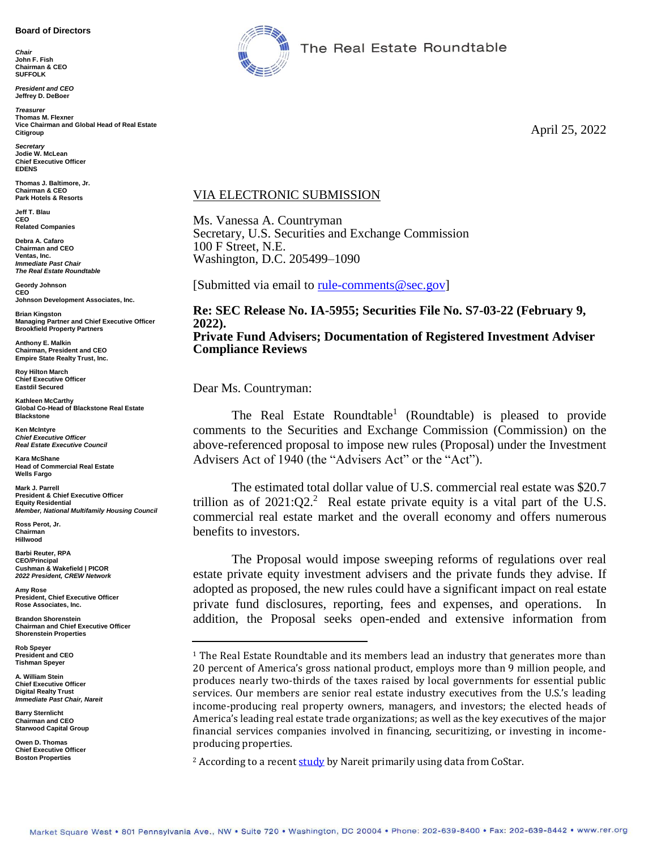#### **Board of Directors**

*Chair* **John F. Fish Chairman & CEO SUFFOLK**

*President and CEO* **Jeffrey D. DeBoer**

**Treasure Thomas M. Flexner Vice Chairman and Global Head of Real Estate Citigroup**

*Secretary* **Jodie W. McLean Chief Executive Officer EDENS**

**Thomas J. Baltimore, Jr. Chairman & CEO Park Hotels & Resorts**

**Jeff T. Blau CEO Related Companies**

**Debra A. Cafaro Chairman and CEO Ventas, Inc.** *Immediate Past Chair The Real Estate Roundtable*

**Geordy Johnson CEO Johnson Development Associates, Inc.**

**Brian Kingston Managing Partner and Chief Executive Officer Brookfield Property Partners**

**Anthony E. Malkin Chairman, President and CEO Empire State Realty Trust, Inc.**

**Roy Hilton March Chief Executive Officer Eastdil Secured**

**Kathleen McCarthy Global Co-Head of Blackstone Real Estate Blackstone**

**Ken McIntyre** *Chief Executive Officer Real Estate Executive Council*

**Kara McShane Head of Commercial Real Estate Wells Fargo**

**Mark J. Parrell President & Chief Executive Officer Equity Residential** *Member, National Multifamily Housing Council*

**Ross Perot, Jr. Chairman Hillwood**

**Barbi Reuter, RPA CEO/Principal Cushman & Wakefield | PICOR** *2022 President, CREW Network*

**Amy Rose President, Chief Executive Officer Rose Associates, Inc.**

**Brandon Shorenstein Chairman and Chief Executive Officer Shorenstein Properties**

**Rob Speyer President and CEO Tishman Speyer**

**A. William Stein Chief Executive Officer Digital Realty Trust** *Immediate Past Chair, Nareit*

**Barry Sternlicht Chairman and CEO Starwood Capital Group**

**Owen D. Thomas Chief Executive Officer Boston Properties**



The Real Estate Roundtable

April 25, 2022

#### VIA ELECTRONIC SUBMISSION

Ms. Vanessa A. Countryman Secretary, U.S. Securities and Exchange Commission 100 F Street, N.E. Washington, D.C. 205499–1090

[Submitted via email to [rule-comments@sec.gov\]](mailto:rule-comments@sec.gov)

**Re: SEC Release No. IA-5955; Securities File No. S7-03-22 (February 9, 2022). Private Fund Advisers; Documentation of Registered Investment Adviser Compliance Reviews** 

Dear Ms. Countryman:

The Real Estate Roundtable<sup>1</sup> (Roundtable) is pleased to provide comments to the Securities and Exchange Commission (Commission) on the above-referenced proposal to impose new rules (Proposal) under the Investment Advisers Act of 1940 (the "Advisers Act" or the "Act").

The estimated total dollar value of U.S. commercial real estate was \$20.7 trillion as of  $2021:Q2<sup>2</sup>$  Real estate private equity is a vital part of the U.S. commercial real estate market and the overall economy and offers numerous benefits to investors.

The Proposal would impose sweeping reforms of regulations over real estate private equity investment advisers and the private funds they advise. If adopted as proposed, the new rules could have a significant impact on real estate private fund disclosures, reporting, fees and expenses, and operations. In addition, the Proposal seeks open-ended and extensive information from

<sup>&</sup>lt;sup>1</sup> The Real Estate Roundtable and its members lead an industry that generates more than 20 percent of America's gross national product, employs more than 9 million people, and produces nearly two-thirds of the taxes raised by local governments for essential public services. Our members are senior real estate industry executives from the U.S.'s leading income-producing real property owners, managers, and investors; the elected heads of America's leading real estate trade organizations; as well as the key executives of the major financial services companies involved in financing, securitizing, or investing in incomeproducing properties.

<sup>&</sup>lt;sup>2</sup> According to a recent **[study](https://www.reit.com/data-research/research/nareit-research/estimating-size-commercial-real-estate-market-us-2021)** by Nareit primarily using data from CoStar.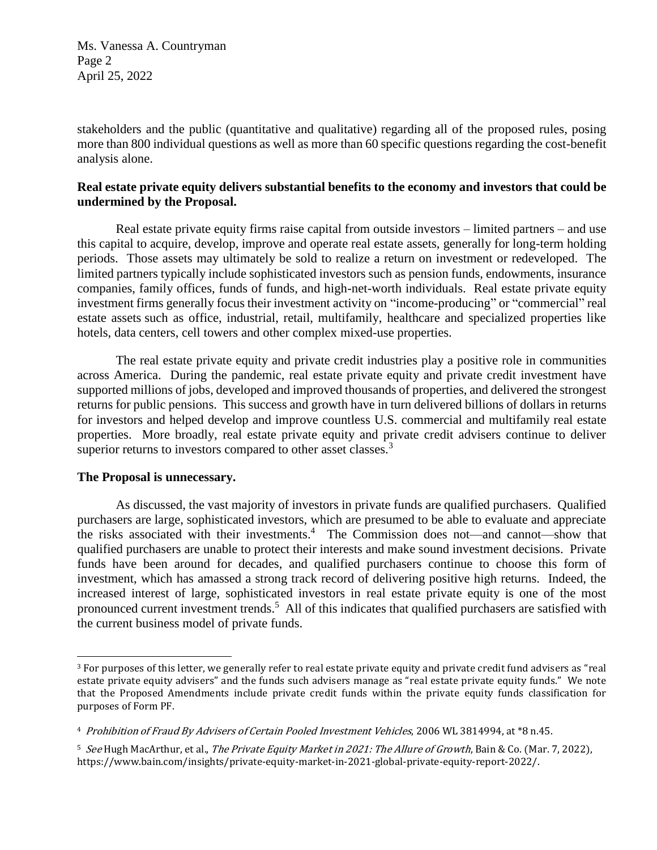Ms. Vanessa A. Countryman Page 2 April 25, 2022

stakeholders and the public (quantitative and qualitative) regarding all of the proposed rules, posing more than 800 individual questions as well as more than 60 specific questions regarding the cost-benefit analysis alone.

# **Real estate private equity delivers substantial benefits to the economy and investors that could be undermined by the Proposal.**

Real estate private equity firms raise capital from outside investors – limited partners – and use this capital to acquire, develop, improve and operate real estate assets, generally for long-term holding periods. Those assets may ultimately be sold to realize a return on investment or redeveloped. The limited partners typically include sophisticated investors such as pension funds, endowments, insurance companies, family offices, funds of funds, and high-net-worth individuals. Real estate private equity investment firms generally focus their investment activity on "income-producing" or "commercial" real estate assets such as office, industrial, retail, multifamily, healthcare and specialized properties like hotels, data centers, cell towers and other complex mixed-use properties.

The real estate private equity and private credit industries play a positive role in communities across America. During the pandemic, real estate private equity and private credit investment have supported millions of jobs, developed and improved thousands of properties, and delivered the strongest returns for public pensions. This success and growth have in turn delivered billions of dollars in returns for investors and helped develop and improve countless U.S. commercial and multifamily real estate properties. More broadly, real estate private equity and private credit advisers continue to deliver superior returns to investors compared to other asset classes.<sup>3</sup>

### **The Proposal is unnecessary.**

 $\overline{a}$ 

As discussed, the vast majority of investors in private funds are qualified purchasers. Qualified purchasers are large, sophisticated investors, which are presumed to be able to evaluate and appreciate the risks associated with their investments.<sup>4</sup> The Commission does not—and cannot—show that qualified purchasers are unable to protect their interests and make sound investment decisions. Private funds have been around for decades, and qualified purchasers continue to choose this form of investment, which has amassed a strong track record of delivering positive high returns. Indeed, the increased interest of large, sophisticated investors in real estate private equity is one of the most pronounced current investment trends.<sup>5</sup> All of this indicates that qualified purchasers are satisfied with the current business model of private funds.

<sup>&</sup>lt;sup>3</sup> For purposes of this letter, we generally refer to real estate private equity and private credit fund advisers as "real estate private equity advisers" and the funds such advisers manage as "real estate private equity funds." We note that the Proposed Amendments include private credit funds within the private equity funds classification for purposes of Form PF.

<sup>4</sup> Prohibition of Fraud By Advisers of Certain Pooled Investment Vehicles, 2006 WL 3814994, at \*8 n.45.

<sup>&</sup>lt;sup>5</sup> See Hugh MacArthur, et al., *The Private Equity Market in 2021: The Allure of Growth*, Bain & Co. (Mar. 7, 2022), https://www.bain.com/insights/private-equity-market-in-2021-global-private-equity-report-2022/.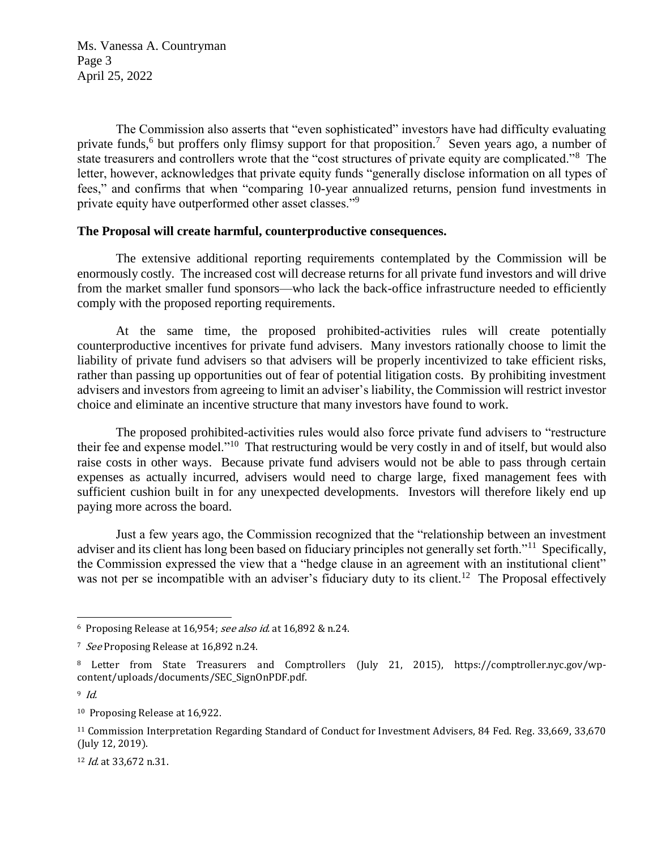Ms. Vanessa A. Countryman Page 3 April 25, 2022

The Commission also asserts that "even sophisticated" investors have had difficulty evaluating private funds,<sup>6</sup> but proffers only flimsy support for that proposition.<sup>7</sup> Seven years ago, a number of state treasurers and controllers wrote that the "cost structures of private equity are complicated."<sup>8</sup> The letter, however, acknowledges that private equity funds "generally disclose information on all types of fees," and confirms that when "comparing 10-year annualized returns, pension fund investments in private equity have outperformed other asset classes."<sup>9</sup>

## **The Proposal will create harmful, counterproductive consequences.**

The extensive additional reporting requirements contemplated by the Commission will be enormously costly. The increased cost will decrease returns for all private fund investors and will drive from the market smaller fund sponsors—who lack the back-office infrastructure needed to efficiently comply with the proposed reporting requirements.

At the same time, the proposed prohibited-activities rules will create potentially counterproductive incentives for private fund advisers. Many investors rationally choose to limit the liability of private fund advisers so that advisers will be properly incentivized to take efficient risks, rather than passing up opportunities out of fear of potential litigation costs. By prohibiting investment advisers and investors from agreeing to limit an adviser's liability, the Commission will restrict investor choice and eliminate an incentive structure that many investors have found to work.

The proposed prohibited-activities rules would also force private fund advisers to "restructure their fee and expense model."<sup>10</sup> That restructuring would be very costly in and of itself, but would also raise costs in other ways. Because private fund advisers would not be able to pass through certain expenses as actually incurred, advisers would need to charge large, fixed management fees with sufficient cushion built in for any unexpected developments. Investors will therefore likely end up paying more across the board.

Just a few years ago, the Commission recognized that the "relationship between an investment adviser and its client has long been based on fiduciary principles not generally set forth."<sup>11</sup> Specifically, the Commission expressed the view that a "hedge clause in an agreement with an institutional client" was not per se incompatible with an adviser's fiduciary duty to its client.<sup>12</sup> The Proposal effectively

 $\overline{a}$ 

12 *Id.* at 33,672 n.31.

<sup>6</sup> Proposing Release at 16,954; see also id. at 16,892 & n.24.

<sup>&</sup>lt;sup>7</sup> See Proposing Release at 16,892 n.24.

<sup>8</sup> Letter from State Treasurers and Comptrollers (July 21, 2015), https://comptroller.nyc.gov/wpcontent/uploads/documents/SEC\_SignOnPDF.pdf.

 $9$  Id.

<sup>10</sup> Proposing Release at 16,922.

<sup>11</sup> Commission Interpretation Regarding Standard of Conduct for Investment Advisers, 84 Fed. Reg. 33,669, 33,670 (July 12, 2019).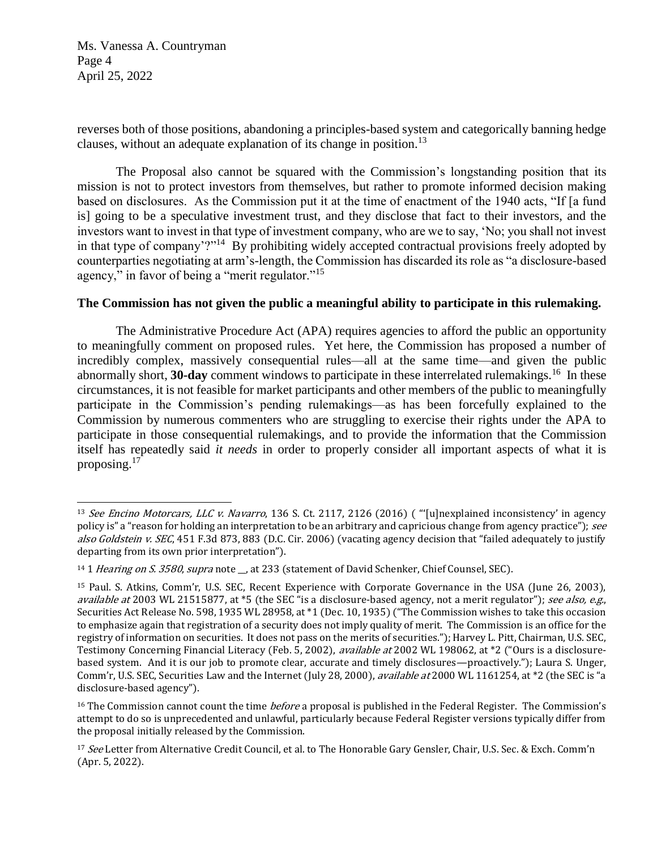Ms. Vanessa A. Countryman Page 4 April 25, 2022

reverses both of those positions, abandoning a principles-based system and categorically banning hedge clauses, without an adequate explanation of its change in position.<sup>13</sup>

The Proposal also cannot be squared with the Commission's longstanding position that its mission is not to protect investors from themselves, but rather to promote informed decision making based on disclosures. As the Commission put it at the time of enactment of the 1940 acts, "If [a fund is] going to be a speculative investment trust, and they disclose that fact to their investors, and the investors want to invest in that type of investment company, who are we to say, 'No; you shall not invest in that type of company'?"<sup>14</sup> By prohibiting widely accepted contractual provisions freely adopted by counterparties negotiating at arm's-length, the Commission has discarded its role as "a disclosure-based agency," in favor of being a "merit regulator."<sup>15</sup>

# **The Commission has not given the public a meaningful ability to participate in this rulemaking.**

The Administrative Procedure Act (APA) requires agencies to afford the public an opportunity to meaningfully comment on proposed rules. Yet here, the Commission has proposed a number of incredibly complex, massively consequential rules—all at the same time—and given the public abnormally short, 30-day comment windows to participate in these interrelated rulemakings.<sup>16</sup> In these circumstances, it is not feasible for market participants and other members of the public to meaningfully participate in the Commission's pending rulemakings—as has been forcefully explained to the Commission by numerous commenters who are struggling to exercise their rights under the APA to participate in those consequential rulemakings, and to provide the information that the Commission itself has repeatedly said *it needs* in order to properly consider all important aspects of what it is proposing.<sup>17</sup>

 $\overline{a}$ <sup>13</sup> See Encino Motorcars, LLC v. Navarro, 136 S. Ct. 2117, 2126 (2016) ( "'[u]nexplained inconsistency' in agency policy is" a "reason for holding an interpretation to be an arbitrary and capricious change from agency practice"); see also Goldstein v. SEC, 451 F.3d 873, 883 (D.C. Cir. 2006) (vacating agency decision that "failed adequately to justify departing from its own prior interpretation").

<sup>&</sup>lt;sup>14</sup> 1 Hearing on S. 3580, supra note \_, at 233 (statement of David Schenker, Chief Counsel, SEC).

<sup>15</sup> Paul. S. Atkins, Comm'r, U.S. SEC, Recent Experience with Corporate Governance in the USA (June 26, 2003), available at 2003 WL 21515877, at \*5 (the SEC "is a disclosure-based agency, not a merit regulator"); see also, e.g., Securities Act Release No. 598, 1935 WL 28958, at \*1 (Dec. 10, 1935) ("The Commission wishes to take this occasion to emphasize again that registration of a security does not imply quality of merit. The Commission is an office for the registry of information on securities. It does not pass on the merits of securities."); Harvey L. Pitt, Chairman, U.S. SEC, Testimony Concerning Financial Literacy (Feb. 5, 2002), available at 2002 WL 198062, at \*2 ("Ours is a disclosurebased system. And it is our job to promote clear, accurate and timely disclosures—proactively."); Laura S. Unger, Comm'r, U.S. SEC, Securities Law and the Internet (July 28, 2000), *available at* 2000 WL 1161254, at \*2 (the SEC is "a disclosure-based agency").

<sup>&</sup>lt;sup>16</sup> The Commission cannot count the time *before* a proposal is published in the Federal Register. The Commission's attempt to do so is unprecedented and unlawful, particularly because Federal Register versions typically differ from the proposal initially released by the Commission.

<sup>&</sup>lt;sup>17</sup> See Letter from Alternative Credit Council, et al. to The Honorable Gary Gensler, Chair, U.S. Sec. & Exch. Comm'n (Apr. 5, 2022).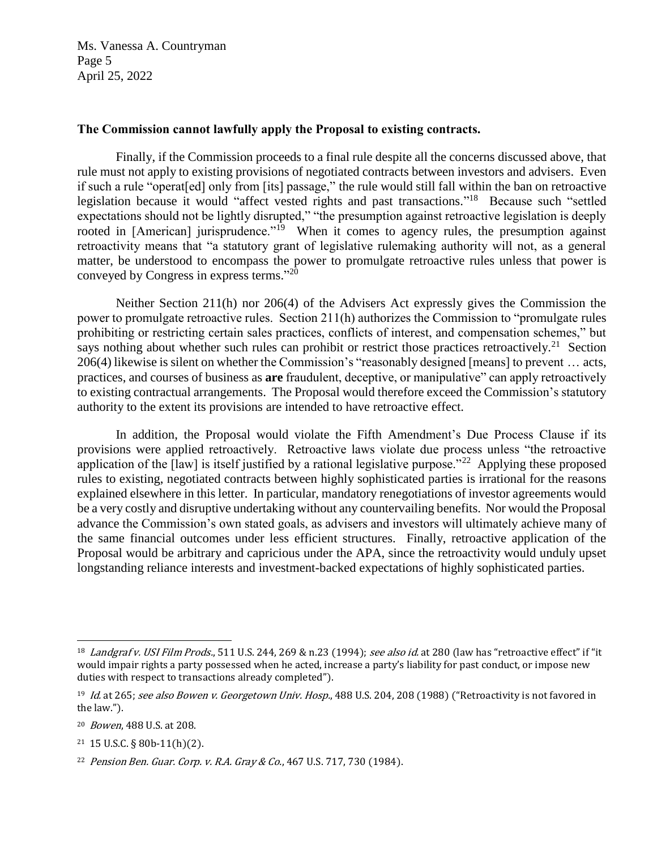Ms. Vanessa A. Countryman Page 5 April 25, 2022

## **The Commission cannot lawfully apply the Proposal to existing contracts.**

Finally, if the Commission proceeds to a final rule despite all the concerns discussed above, that rule must not apply to existing provisions of negotiated contracts between investors and advisers. Even if such a rule "operat[ed] only from [its] passage," the rule would still fall within the ban on retroactive legislation because it would "affect vested rights and past transactions."<sup>18</sup> Because such "settled expectations should not be lightly disrupted," "the presumption against retroactive legislation is deeply rooted in [American] jurisprudence."<sup>19</sup> When it comes to agency rules, the presumption against retroactivity means that "a statutory grant of legislative rulemaking authority will not, as a general matter, be understood to encompass the power to promulgate retroactive rules unless that power is conveyed by Congress in express terms." 20

Neither Section 211(h) nor 206(4) of the Advisers Act expressly gives the Commission the power to promulgate retroactive rules. Section 211(h) authorizes the Commission to "promulgate rules prohibiting or restricting certain sales practices, conflicts of interest, and compensation schemes," but says nothing about whether such rules can prohibit or restrict those practices retroactively.<sup>21</sup> Section 206(4) likewise is silent on whether the Commission's "reasonably designed [means] to prevent … acts, practices, and courses of business as **are** fraudulent, deceptive, or manipulative" can apply retroactively to existing contractual arrangements. The Proposal would therefore exceed the Commission's statutory authority to the extent its provisions are intended to have retroactive effect.

In addition, the Proposal would violate the Fifth Amendment's Due Process Clause if its provisions were applied retroactively. Retroactive laws violate due process unless "the retroactive application of the  $\lceil \text{law} \rceil$  is itself justified by a rational legislative purpose."<sup>22</sup> Applying these proposed rules to existing, negotiated contracts between highly sophisticated parties is irrational for the reasons explained elsewhere in this letter. In particular, mandatory renegotiations of investor agreements would be a very costly and disruptive undertaking without any countervailing benefits. Nor would the Proposal advance the Commission's own stated goals, as advisers and investors will ultimately achieve many of the same financial outcomes under less efficient structures. Finally, retroactive application of the Proposal would be arbitrary and capricious under the APA, since the retroactivity would unduly upset longstanding reliance interests and investment-backed expectations of highly sophisticated parties.

 $\overline{a}$ 

<sup>&</sup>lt;sup>18</sup> Landgraf v. USI Film Prods., 511 U.S. 244, 269 & n.23 (1994); see also id. at 280 (law has "retroactive effect" if "it would impair rights a party possessed when he acted, increase a party's liability for past conduct, or impose new duties with respect to transactions already completed").

<sup>&</sup>lt;sup>19</sup> Id. at 265; see also Bowen v. Georgetown Univ. Hosp., 488 U.S. 204, 208 (1988) ("Retroactivity is not favored in the law.").

<sup>20</sup> Bowen, 488 U.S. at 208.

<sup>21</sup> 15 U.S.C. § 80b-11(h)(2).

<sup>22</sup> Pension Ben. Guar. Corp. v. R.A. Gray & Co., 467 U.S. 717, 730 (1984).